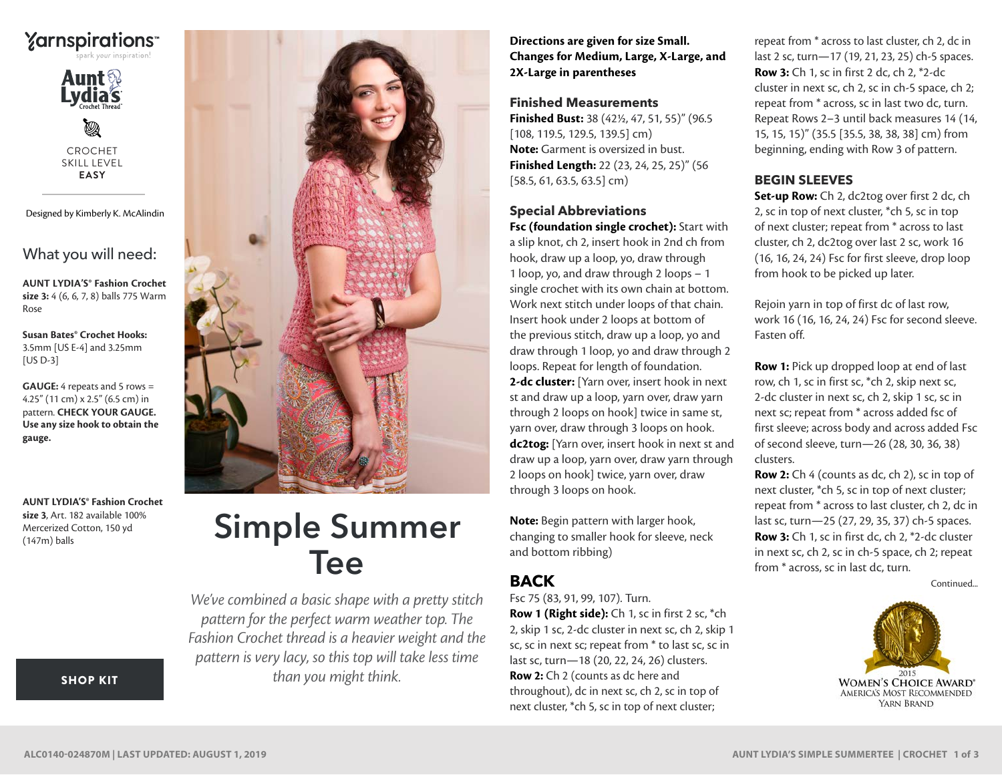



CROCHET SKILL LEVEL **EASY**

Designed by Kimberly K. McAlindin

What you will need:

**AUNT LYDIA'S® Fashion Crochet size 3:** 4 (6, 6, 7, 8) balls 775 Warm Rose

**Susan Bates® Crochet Hooks:** 3.5mm [US E-4] and 3.25mm [US D-3]

**GAUGE:** 4 repeats and 5 rows = 4.25" (11 cm) x 2.5" (6.5 cm) in pattern. **CHECK YOUR GAUGE. Use any size hook to obtain the gauge.**

**AUNT LYDIA'S® Fashion Crochet size 3**, Art. 182 available 100% Mercerized Cotton, 150 yd (147m) balls



# Simple Summer Tee

*We've combined a basic shape with a pretty stitch pattern for the perfect warm weather top. The Fashion Crochet thread is a heavier weight and the pattern is very lacy, so this top will take less time than you might think.*

**Directions are given for size Small. Changes for Medium, Large, X-Large, and 2X-Large in parentheses**

## **Finished Measurements**

**Finished Bust:** 38 (42½, 47, 51, 55)" (96.5 [108, 119.5, 129.5, 139.5] cm) **Note:** Garment is oversized in bust. **Finished Length:** 22 (23, 24, 25, 25)" (56 [58.5, 61, 63.5, 63.5] cm)

## **Special Abbreviations**

**Fsc (foundation single crochet):** Start with a slip knot, ch 2, insert hook in 2nd ch from hook, draw up a loop, yo, draw through 1 loop, yo, and draw through 2 loops – 1 single crochet with its own chain at bottom. Work next stitch under loops of that chain. Insert hook under 2 loops at bottom of the previous stitch, draw up a loop, yo and draw through 1 loop, yo and draw through 2 loops. Repeat for length of foundation. **2-dc cluster:** [Yarn over, insert hook in next st and draw up a loop, yarn over, draw yarn through 2 loops on hook] twice in same st, yarn over, draw through 3 loops on hook. **dc2tog:** [Yarn over, insert hook in next st and draw up a loop, yarn over, draw yarn through 2 loops on hook] twice, yarn over, draw through 3 loops on hook.

**Note:** Begin pattern with larger hook, changing to smaller hook for sleeve, neck and bottom ribbing)

## **BACK**

Fsc 75 (83, 91, 99, 107). Turn. **Row 1 (Right side):** Ch 1, sc in first 2 sc, \*ch 2, skip 1 sc, 2-dc cluster in next sc, ch 2, skip 1 sc, sc in next sc; repeat from \* to last sc, sc in last sc, turn—18 (20, 22, 24, 26) clusters. **Row 2:** Ch 2 (counts as dc here and throughout), dc in next sc, ch 2, sc in top of next cluster, \*ch 5, sc in top of next cluster;

repeat from \* across to last cluster, ch 2, dc in last 2 sc, turn—17 (19, 21, 23, 25) ch-5 spaces. **Row 3:** Ch 1, sc in first 2 dc, ch 2, \*2-dc cluster in next sc, ch 2, sc in ch-5 space, ch 2; repeat from \* across, sc in last two dc, turn. Repeat Rows 2–3 until back measures 14 (14, 15, 15, 15)" (35.5 [35.5, 38, 38, 38] cm) from beginning, ending with Row 3 of pattern.

## **BEGIN SLEEVES**

**Set-up Row:** Ch 2, dc2tog over first 2 dc, ch 2, sc in top of next cluster, \*ch 5, sc in top of next cluster; repeat from \* across to last cluster, ch 2, dc2tog over last 2 sc, work 16 (16, 16, 24, 24) Fsc for first sleeve, drop loop from hook to be picked up later.

Rejoin yarn in top of first dc of last row, work 16 (16, 16, 24, 24) Fsc for second sleeve. Fasten off.

**Row 1:** Pick up dropped loop at end of last row, ch 1, sc in first sc, \*ch 2, skip next sc, 2-dc cluster in next sc, ch 2, skip 1 sc, sc in next sc; repeat from \* across added fsc of first sleeve; across body and across added Fsc of second sleeve, turn—26 (28, 30, 36, 38) clusters.

**Row 2:** Ch 4 (counts as dc, ch 2), sc in top of next cluster, \*ch 5, sc in top of next cluster; repeat from \* across to last cluster, ch 2, dc in last sc, turn—25 (27, 29, 35, 37) ch-5 spaces. **Row 3:** Ch 1, sc in first dc, ch 2, \*2-dc cluster in next sc, ch 2, sc in ch-5 space, ch 2; repeat from \* across, sc in last dc, turn.





## [SHOP KIT](https://www.yarnspirations.com/aunt-lydias-simple-summer-tee/ALC0140-024870M.html#utm_source=pdf-yarnspirations&utm_medium=referral&utm_campaign=pdf-ALC0140-024870M)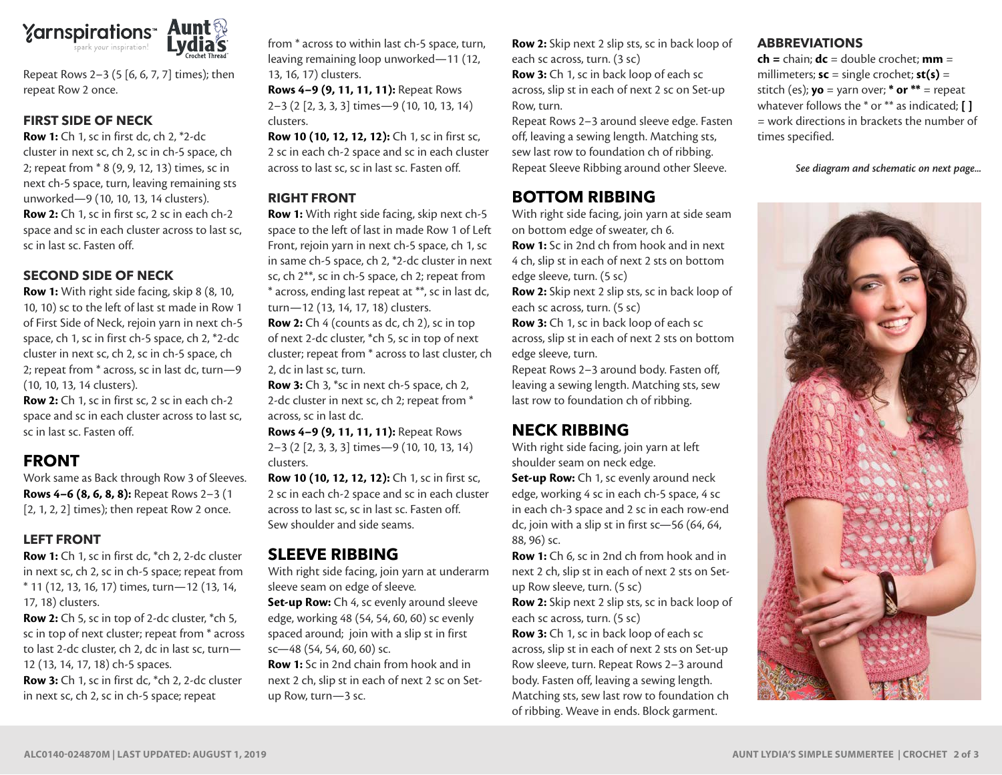

Repeat Rows 2–3 (5 [6, 6, 7, 7] times); then repeat Row 2 once.

#### **FIRST SIDE OF NECK**

**Row 1:** Ch 1, sc in first dc, ch 2, \*2-dc cluster in next sc, ch 2, sc in ch-5 space, ch 2; repeat from \* 8 (9, 9, 12, 13) times, sc in next ch-5 space, turn, leaving remaining sts unworked—9 (10, 10, 13, 14 clusters). **Row 2:** Ch 1, sc in first sc, 2 sc in each ch-2 space and sc in each cluster across to last sc, sc in last sc. Fasten off.

#### **SECOND SIDE OF NECK**

**Row 1:** With right side facing, skip 8 (8, 10, 10, 10) sc to the left of last st made in Row 1 of First Side of Neck, rejoin yarn in next ch-5 space, ch 1, sc in first ch-5 space, ch 2, \*2-dc cluster in next sc, ch 2, sc in ch-5 space, ch 2; repeat from \* across, sc in last dc, turn—9 (10, 10, 13, 14 clusters).

**Row 2:** Ch 1, sc in first sc, 2 sc in each ch-2 space and sc in each cluster across to last sc, sc in last sc. Fasten off.

## **FRONT**

Work same as Back through Row 3 of Sleeves. **Rows 4–6 (8, 6, 8, 8):** Repeat Rows 2–3 (1 [2, 1, 2, 2] times); then repeat Row 2 once.

## **LEFT FRONT**

**Row 1:** Ch 1, sc in first dc, \*ch 2, 2-dc cluster in next sc, ch 2, sc in ch-5 space; repeat from \* 11 (12, 13, 16, 17) times, turn—12 (13, 14, 17, 18) clusters.

**Row 2:** Ch 5, sc in top of 2-dc cluster, \*ch 5, sc in top of next cluster; repeat from \* across to last 2-dc cluster, ch 2, dc in last sc, turn— 12 (13, 14, 17, 18) ch-5 spaces. **Row 3:** Ch 1, sc in first dc, \*ch 2, 2-dc cluster in next sc, ch 2, sc in ch-5 space; repeat

from \* across to within last ch-5 space, turn, leaving remaining loop unworked—11 (12, 13, 16, 17) clusters. **Rows 4–9 (9, 11, 11, 11):** Repeat Rows 2–3 (2 [2, 3, 3, 3] times—9 (10, 10, 13, 14)

clusters. **Row 10 (10, 12, 12, 12):** Ch 1, sc in first sc,

2 sc in each ch-2 space and sc in each cluster across to last sc, sc in last sc. Fasten off.

#### **RIGHT FRONT**

**Row 1:** With right side facing, skip next ch-5 space to the left of last in made Row 1 of Left Front, rejoin yarn in next ch-5 space, ch 1, sc in same ch-5 space, ch 2, \*2-dc cluster in next sc, ch 2\*\*, sc in ch-5 space, ch 2; repeat from \* across, ending last repeat at \*\*, sc in last dc, turn—12 (13, 14, 17, 18) clusters.

**Row 2:** Ch 4 (counts as dc, ch 2), sc in top of next 2-dc cluster, \*ch 5, sc in top of next cluster; repeat from \* across to last cluster, ch 2, dc in last sc, turn.

**Row 3:** Ch 3, \*sc in next ch-5 space, ch 2, 2-dc cluster in next sc, ch 2; repeat from \* across, sc in last dc.

**Rows 4–9 (9, 11, 11, 11):** Repeat Rows 2–3 (2 [2, 3, 3, 3] times—9 (10, 10, 13, 14) clusters.

**Row 10 (10, 12, 12, 12):** Ch 1, sc in first sc, 2 sc in each ch-2 space and sc in each cluster across to last sc, sc in last sc. Fasten off. Sew shoulder and side seams.

## **SLEEVE RIBBING**

With right side facing, join yarn at underarm sleeve seam on edge of sleeve.

**Set-up Row:** Ch 4, sc evenly around sleeve edge, working 48 (54, 54, 60, 60) sc evenly spaced around; join with a slip st in first sc—48 (54, 54, 60, 60) sc.

**Row 1:** Sc in 2nd chain from hook and in next 2 ch, slip st in each of next 2 sc on Setup Row, turn—3 sc.

**Row 2:** Skip next 2 slip sts, sc in back loop of each sc across, turn. (3 sc)

**Row 3:** Ch 1, sc in back loop of each sc across, slip st in each of next 2 sc on Set-up Row, turn.

Repeat Rows 2–3 around sleeve edge. Fasten off, leaving a sewing length. Matching sts, sew last row to foundation ch of ribbing. Repeat Sleeve Ribbing around other Sleeve.

# **BOTTOM RIBBING**

With right side facing, join yarn at side seam on bottom edge of sweater, ch 6.

**Row 1:** Sc in 2nd ch from hook and in next 4 ch, slip st in each of next 2 sts on bottom edge sleeve, turn. (5 sc)

**Row 2:** Skip next 2 slip sts, sc in back loop of each sc across, turn. (5 sc)

**Row 3:** Ch 1, sc in back loop of each sc across, slip st in each of next 2 sts on bottom edge sleeve, turn.

Repeat Rows 2–3 around body. Fasten off, leaving a sewing length. Matching sts, sew last row to foundation ch of ribbing.

# **NECK RIBBING**

With right side facing, join yarn at left shoulder seam on neck edge.

**Set-up Row:** Ch 1, sc evenly around neck edge, working 4 sc in each ch-5 space, 4 sc in each ch-3 space and 2 sc in each row-end dc, join with a slip st in first sc—56 (64, 64, 88, 96) sc.

**Row 1:** Ch 6, sc in 2nd ch from hook and in next 2 ch, slip st in each of next 2 sts on Setup Row sleeve, turn. (5 sc)

**Row 2:** Skip next 2 slip sts, sc in back loop of each sc across, turn. (5 sc)

**Row 3:** Ch 1, sc in back loop of each sc across, slip st in each of next 2 sts on Set-up Row sleeve, turn. Repeat Rows 2–3 around body. Fasten off, leaving a sewing length. Matching sts, sew last row to foundation ch of ribbing. Weave in ends. Block garment.

## **ABBREVIATIONS**

**ch =** chain; **dc** = double crochet; **mm** = millimeters; **sc** = single crochet; **st(s)** = stitch (es); **yo** = yarn over; **\* or \*\*** = repeat whatever follows the \* or \*\* as indicated; **[ ]** = work directions in brackets the number of times specified.

*See diagram and schematic on next page...*